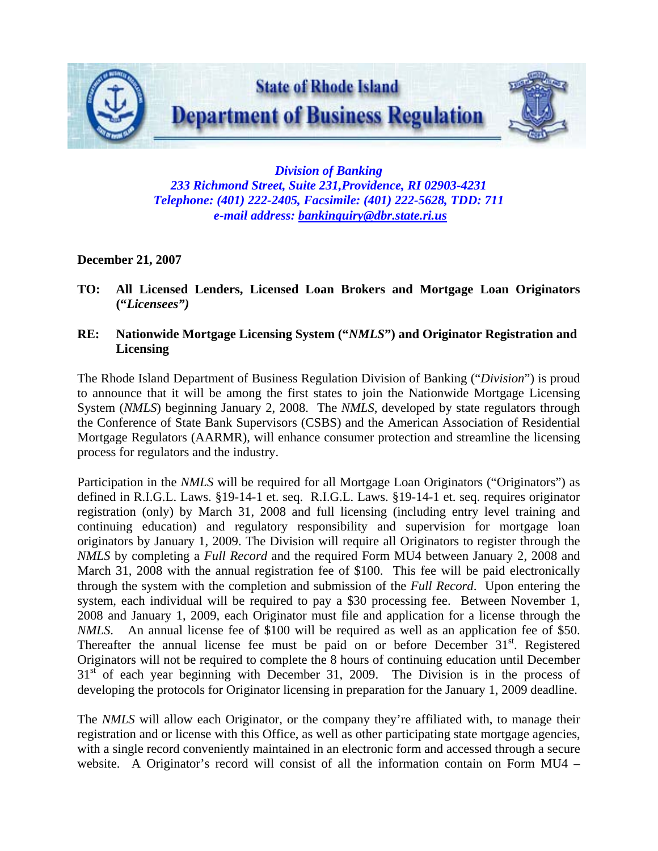

*Division of Banking 233 Richmond Street, Suite 231,Providence, RI 02903-4231 Telephone: (401) 222-2405, Facsimile: (401) 222-5628, TDD: 711 e-mail address: [bankinquiry@dbr.state.ri.us](mailto:bankinquiry@dbr.state.ri.us)*

## **December 21, 2007**

- **TO: All Licensed Lenders, Licensed Loan Brokers and Mortgage Loan Originators ("***Licensees")*
- **RE: Nationwide Mortgage Licensing System ("***NMLS***") and Originator Registration and Licensing**

The Rhode Island Department of Business Regulation Division of Banking ("*Division*") is proud to announce that it will be among the first states to join the Nationwide Mortgage Licensing System (*NMLS*) beginning January 2, 2008. The *NMLS*, developed by state regulators through the Conference of State Bank Supervisors (CSBS) and the American Association of Residential Mortgage Regulators (AARMR), will enhance consumer protection and streamline the licensing process for regulators and the industry.

Participation in the *NMLS* will be required for all Mortgage Loan Originators ("Originators") as defined in R.I.G.L. Laws. §19-14-1 et. seq. R.I.G.L. Laws. §19-14-1 et. seq. requires originator registration (only) by March 31, 2008 and full licensing (including entry level training and continuing education) and regulatory responsibility and supervision for mortgage loan originators by January 1, 2009. The Division will require all Originators to register through the *NMLS* by completing a *Full Record* and the required Form MU4 between January 2, 2008 and March 31, 2008 with the annual registration fee of \$100. This fee will be paid electronically through the system with the completion and submission of the *Full Record*. Upon entering the system, each individual will be required to pay a \$30 processing fee. Between November 1, 2008 and January 1, 2009, each Originator must file and application for a license through the *NMLS*. An annual license fee of \$100 will be required as well as an application fee of \$50. Thereafter the annual license fee must be paid on or before December  $31<sup>st</sup>$ . Registered Originators will not be required to complete the 8 hours of continuing education until December  $31<sup>st</sup>$  of each year beginning with December 31, 2009. The Division is in the process of developing the protocols for Originator licensing in preparation for the January 1, 2009 deadline.

The *NMLS* will allow each Originator, or the company they're affiliated with, to manage their registration and or license with this Office, as well as other participating state mortgage agencies, with a single record conveniently maintained in an electronic form and accessed through a secure website. A Originator's record will consist of all the information contain on Form MU4 –